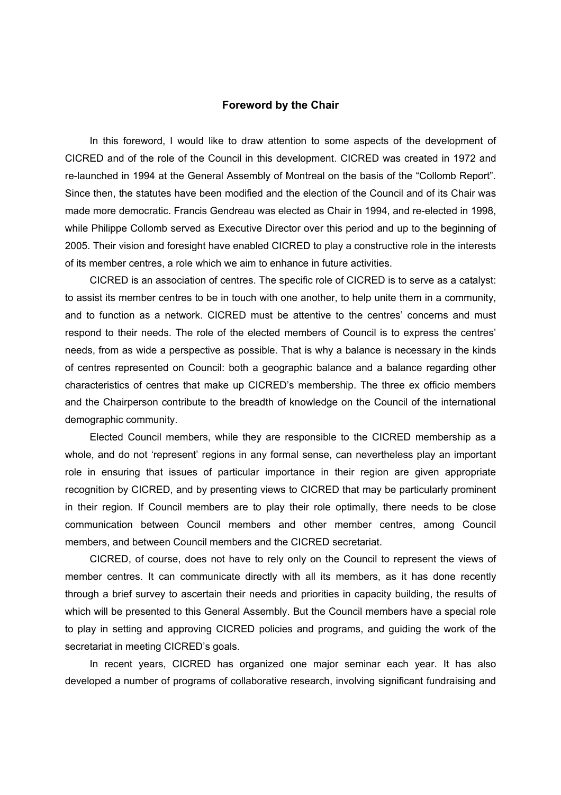## **Foreword by the Chair**

In this foreword, I would like to draw attention to some aspects of the development of CICRED and of the role of the Council in this development. CICRED was created in 1972 and re-launched in 1994 at the General Assembly of Montreal on the basis of the "Collomb Report". Since then, the statutes have been modified and the election of the Council and of its Chair was made more democratic. Francis Gendreau was elected as Chair in 1994, and re-elected in 1998, while Philippe Collomb served as Executive Director over this period and up to the beginning of 2005. Their vision and foresight have enabled CICRED to play a constructive role in the interests of its member centres, a role which we aim to enhance in future activities.

CICRED is an association of centres. The specific role of CICRED is to serve as a catalyst: to assist its member centres to be in touch with one another, to help unite them in a community, and to function as a network. CICRED must be attentive to the centres' concerns and must respond to their needs. The role of the elected members of Council is to express the centres' needs, from as wide a perspective as possible. That is why a balance is necessary in the kinds of centres represented on Council: both a geographic balance and a balance regarding other characteristics of centres that make up CICRED's membership. The three ex officio members and the Chairperson contribute to the breadth of knowledge on the Council of the international demographic community.

Elected Council members, while they are responsible to the CICRED membership as a whole, and do not 'represent' regions in any formal sense, can nevertheless play an important role in ensuring that issues of particular importance in their region are given appropriate recognition by CICRED, and by presenting views to CICRED that may be particularly prominent in their region. If Council members are to play their role optimally, there needs to be close communication between Council members and other member centres, among Council members, and between Council members and the CICRED secretariat.

CICRED, of course, does not have to rely only on the Council to represent the views of member centres. It can communicate directly with all its members, as it has done recently through a brief survey to ascertain their needs and priorities in capacity building, the results of which will be presented to this General Assembly. But the Council members have a special role to play in setting and approving CICRED policies and programs, and guiding the work of the secretariat in meeting CICRED's goals.

In recent years, CICRED has organized one major seminar each year. It has also developed a number of programs of collaborative research, involving significant fundraising and